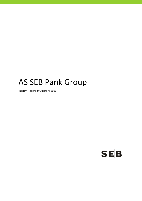# AS SEB Pank Group

Interim Report of Quarter I 2016

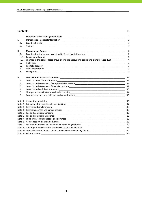## **Contents** P.

|            |                                                                                                                                                                                                                                | $\overline{2}$      |
|------------|--------------------------------------------------------------------------------------------------------------------------------------------------------------------------------------------------------------------------------|---------------------|
| ı.         |                                                                                                                                                                                                                                | 3                   |
| 1.         |                                                                                                                                                                                                                                | 3                   |
| 2.         |                                                                                                                                                                                                                                | 3                   |
| ΙΙ.        | <b>Management Report</b>                                                                                                                                                                                                       | 4                   |
| 1.         | Credit institution's group as defined in Credit Institutions Law___________________________________                                                                                                                            | $\overline{4}$      |
| 1.1.       | Consolidated group contract to the contract of the contract of the contract of the contract of the contract of                                                                                                                 | $\overline{4}$      |
| 1.2.<br>2. | Changes in the consolidated group during the accounting period and plans for year 2016____________<br>Highlights                                                                                                               | $\overline{4}$<br>5 |
| 3.         |                                                                                                                                                                                                                                | $\overline{7}$      |
| 4.         |                                                                                                                                                                                                                                | 9                   |
| 5.         |                                                                                                                                                                                                                                | 9                   |
| Ш.         |                                                                                                                                                                                                                                | 11                  |
| 1.         | Consolidated income statement<br><u> 1989 - Johann Stoff, amerikansk politiker (d. 1989)</u>                                                                                                                                   | 11                  |
| 2.         | Consolidated statement of comprehensive income<br><u>[11]</u> The manual continuum of the comprehensive income<br>11                                                                                                           |                     |
| 3.         |                                                                                                                                                                                                                                |                     |
| 4.         |                                                                                                                                                                                                                                |                     |
| 5.         |                                                                                                                                                                                                                                |                     |
| 6.         |                                                                                                                                                                                                                                | 15                  |
|            |                                                                                                                                                                                                                                |                     |
|            |                                                                                                                                                                                                                                |                     |
|            |                                                                                                                                                                                                                                |                     |
|            |                                                                                                                                                                                                                                | 19                  |
|            |                                                                                                                                                                                                                                | 19                  |
|            |                                                                                                                                                                                                                                | 20                  |
|            |                                                                                                                                                                                                                                |                     |
|            |                                                                                                                                                                                                                                |                     |
|            |                                                                                                                                                                                                                                |                     |
|            |                                                                                                                                                                                                                                |                     |
|            |                                                                                                                                                                                                                                | 22                  |
|            | Note 12 Related parties and the state of the state of the state of the state of the state of the state of the state of the state of the state of the state of the state of the state of the state of the state of the state of | 24                  |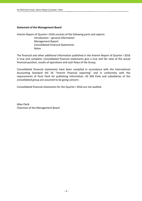# **Statement of the Management Board**

Interim Report of Quarter I 2016 consists of the following parts and reports:

 Introduction – general information Management Report Consolidated Financial Statements Notes

The financial and other additional information published in the Interim Report of Quarter I 2016 is true and complete. Consolidated financial statements give a true and fair view of the actual financial position, results of operations and cash flows of the Group.

Consolidated financial statements have been compiled in accordance with the International Accounting Standard IAS 34 "Interim financial reporting" and in conformity with the requirements of Eesti Pank for publishing information. AS SEB Pank and subsidiaries of the consolidated group are assumed to be going concern.

Consolidated financial statements for the Quarter I 2016 are not audited.

Allan Parik Chairman of the Management Board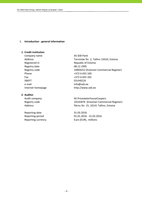## **I. Introduction ‐ general information**

# **1. Credit institution**

Company name AS SEB Pank Registry date 08.12.1995 Phone  $+3726655100$ Fax +372 6 655 102 SWIFT EEUHEE2X e-mail info@seb.ee

# **2. Auditor**

Reporting date 31.03.2016 Reporting currency **EUR** Euro (EUR), millions

Address Tornimäe Str. 2, Tallinn 15010, Estonia Registered in Republic of Estonia Registry code 10004252 (Estonian Commercial Register) Internet homepage http://www.seb.ee

Audit company **AS PricewaterhouseCoopers** Registry code 10142876 (Estonian Commercial Register) Address **Pärnu Str. 15, 10141 Tallinn, Estonia** 

Reporting period 01.01.2016 ‐ 31.03.2016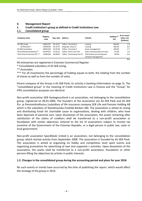# **II. Management Report**

# **1. Credit institution's group as defined in Credit Institutions Law**

# **1.1. Consolidated group**

| Company name                 | Registry<br>code | Reg. date | Address                   | <b>Activity</b>             | Holding***<br>(%) | At an acqui-<br>sition cost<br>(EURmio) |
|------------------------------|------------------|-----------|---------------------------|-----------------------------|-------------------|-----------------------------------------|
| AS SEB Liising               | 10281767         | 03.10.97  | Tallinn, Tornimäe 2       | Leasing                     | 100.0%            | 1.8                                     |
| AS Rentacar*                 | 10303546         | 20.10.97  | Haapsalu, Karja 27        | Leasing                     | 100.0%            | 0.0                                     |
| AS SEB Varahaldus            | 10035169         | 22.05.96  | Tallinn. Tornimäe 2       | Asset management            | 100.0%            | 2.7                                     |
| AS Sertifitseerimiskeskus**  | 10747013         | 27.03.01  | Tallinn. Pärnu mnt 141    | Data communication services | 25.0%             | 1.0                                     |
| Tieto Estonia Services OÜ ** | 11065244         | 30.08.04  | Tallinn. Tammsaare tee 47 | Information processing and  | 20.0%             | 0.0                                     |
|                              |                  |           |                           | network management          |                   |                                         |

All enterprises are registered in Estonian Commercial Register.

\* Consolidated subsidiary of AS SEB Liising.

\*\* Associates.

\*\*\* For all investments the percentage of holding equals to both, the holding from the number of shares as well as from the number of votes.

**5.5**

Parent company of the Group is AS SEB Pank, its activity is banking (information on page 3). The "consolidated group" in the meaning of Credit Institutions Law in Estonia and the "Group" for IFRS consolidation purposes are identical.

Non-profit association SEB Heategevusfond is an association, not belonging to the consolidation group, registered on 06.01.2006. The founders of the association are AS SEB Pank and AS SEB Elu‐ ja Pensionikindlustus (subsidiary of life insurance company SEB Life and Pension Holding AB which is the subsidiary of Skandinaviska Enskilda Banken AB). The association is aimed at raising and distributing funds for charitable cause to organisations, dealing with children, who have been deprived of parental care. Upon dissolution of the association, the assets remaining after satisfaction of the claims of creditors shall be transferred to a non‐profit association or foundation with similar objectives, entered to the list of associations subject to income tax incentive of the Government of the Estonian Republic, or a legal person in public law, state or local government.

Non‐profit association Spordiklubi United is an association, not belonging to the consolidation group, which started activity from September 2008. The association is founded by AS SEB Pank. The association is aimed at organizing on hobby and competition level sport events and organizing promotions for advertising of own and supporter´s activities. Upon dissolution of the association, the assets shall be transferred to a non‐profit association, foundation or other persons filling the objectives by articles in public interests.

# **1.2. Changes in the consolidated group during the accounting period and plans for year 2016**

No such events or trends have occurred by the time of publishing the report, which would affect the strategy of the group in 2016.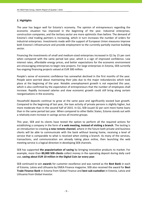# **2. Highlights**

The year has begun well for Estonia's economy. The opinion of entrepreneurs regarding the economic situation has improved in the beginning of the year. Industrial enterprises, construction companies, and the tertiary sector are more optimistic than before. The demand of Estonia's vital trading partners is increasing, which in turn increases the number of orders for industrial enterprises. Investments made with the support of European Union measures improve both Estonia's infrastructure and provide employment to the currently partially inactive building sector.

Financing the investments of small and medium‐sized enterprises increased in Q1 by 15 per cent when compared with the same period last year, which is a sign of improved confidence. Low interest rates, affordable energy prices, and better expectations for the economic environment are encouraging enterprises to begin new projects. For large enterprises in Estonia, SEB currently has ongoing financing projects valued at EUR 300 million.

People's sense of economic confidence has somewhat declined in the first months of the year. People were worried about maintaining their jobs due to the major redundancies which took place at the beginning of the year. Notable unemployment growth is not expected this year, which is also confirmed by the expectation of entrepreneurs that the number of employees shall increase. Rapidly increased salaries and slow economic growth could still bring along certain reorganisations in the economy.

Household deposits continue to grow at the same pace and significantly exceed loan growth. Compared to the beginning of last year, the loan activity of private persons is slightly higher, but more moderate than in the second half of 2015. In Q1, SEB issued 32 per cent more home loans than in the same period last year. When compared to other Baltic States, Estonia stands out with a relatively even increase in savings across all income groups.

This year, SEB and its clients have tested the option to perform all the required actions for establishing a company in the form of **a web meeting, instead of visiting a branch**. The testing is an introduction to creating **a new remote channel**, where in the future both private and business clients will be able to communicate with the bank without leaving home, receiving a level of service that is comparable to what is received when visiting a branch. As many of the services, transactions, and communication are already taking place online, then launching the web meeting service is a logical direction in developing SEB channels.

SEB has supported **the popularisation of saving** by bringing innovative products to market. For example, more than **80,000 SEB clients** collect money in the operating deposit during daily card use, **saving about EUR 10 million in the Digital Coin Jar every year**.

SEB continued to win **awards** for customer excellence and was named as the **Best Bank** in each of Estonia, Latvia and Lithuania by EMEA Finance magazine. SEB also received the award for **Best Trade Finance Bank** in Estonia from Global Finance and **best sub‐custodian** in Estonia, Latvia and Lithuania from Global Investor.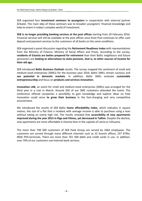SEB organised four **investment seminars to youngsters** in cooperation with external partner Ärikatel. The main idea of these seminars was to broaden youngsters' financial knowledge and help to orient in today's complex world of investment.

**SEB is no longer providing banking services at the post offices** starting from 29 February 2016. Financial services will still be available at the post offices since Eesti Post continues to offer cash deposit and payment services to the customers of all banks on the same conditions.

SEB organised a panel discussion regarding the **Retirement Readiness Index** with representatives from the Ministry of Finance, Ministry of Social Affairs and Praxis. According to the survey, **residents of Estonia are better prepared for retirement** than their Baltic neighbours and future pensioners are **looking to alternatives to state pensions**, **that is, to other sources of income for their old age.**

SEB introduced **Baltic Business Outlook** results. The survey mapped the sentiment of small and medium‐sized enterprises (SMEs) for the business year 2016. Baltic SMEs remain cautious and **see potential in domestic markets**. In addition, Baltic SMEs evaluate **sustainable entrepreneurship** and focus on **products and services innovation**.

**Innovation LAB**, an event for small and medium‐sized enterprises (SMEs) was arranged for the third year in a row in March. Around 350 of our SME customers attended the event. The conference offered companies a possibility to gain knowledge and explore ideas on how innovation could serve **to grow their business** in the fast‐changing and very competitive environment.

We introduced the results of SEB Baltic **home affordability index**, which indicates in square metres, the size of a flat that a resident with average income is able to purchase using a loan without taking an overly high risk. The results revealed that **accessibility of new apartments improved during the year 2015 in Riga and Vilnius, yet decreased in Tallinn**. Despite the decline, new apartments are more affordable in Estonia than in the capitals of Latvia or Lithuania.

The more than 748 500 customers of SEB Pank Group are served by 1064 employees. The customers are served through many different channels such as 22 branch offices, 237 ATMs, 9026 POS-terminals. There are more than 761 500 debit and credit cards in use. In addition, over 79% of our customers use internet bank services.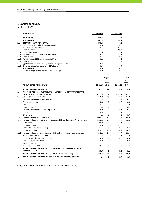# **3. Capital adequacy**

(millions of EUR)

|        | <b>CAPITAL BASE</b>                                                    | 31.03.16 | 31.12.15 |
|--------|------------------------------------------------------------------------|----------|----------|
|        | <b>OWN FUNDS</b>                                                       | 907.4    | 904.5    |
| 1.     | <b>TIER 1 CAPITAL</b>                                                  | 907.4    | 904.5    |
| 1.1.   | <b>COMMON EQUITY TIER 1 CAPITAL</b>                                    | 907.4    | 904.5    |
| 1.1.1. | Capital instruments eligible as CET1 Capital                           | 128.8    | 128.8    |
|        | Paid up capital instruments                                            | 42.5     | 42.5     |
|        | Share premium                                                          | 86.3     | 86.3     |
| 1.1.2. | Retained earnings *                                                    | 751.4    | 751.4    |
| 1.1.3. | Accumulated other comprehensive income                                 | 16.1     | 12.8     |
| 1.1.4. | Other reserves                                                         | 19.4     | 19.4     |
| 1.1.5. | Adjustments to CET1 due to prudential filters                          | $-0.1$   | $-0.1$   |
| 1.1.6. | (-) Intangible assets                                                  | $-2.4$   | $-1.9$   |
|        | 1.1.7. (-) IRB shortfall of credit risk adjustments to expected losses | $-5.3$   | $-5.5$   |
| 1.1.8. | Other transitional adjustments to CET1 Capital                         | $-0.5$   | $-0.4$   |
| 2.     | <b>TIER 2 CAPITAL</b>                                                  | 0.0      | 0.0      |
|        | IRB Excess of provisions over expected losses eligible                 | 0.0      | 0.0      |

|      |                                                                                         |             | Capital  |             | Capital  |
|------|-----------------------------------------------------------------------------------------|-------------|----------|-------------|----------|
|      |                                                                                         |             | require- |             | require- |
|      |                                                                                         |             | ments    |             | ments    |
|      | RISK WEIGHTED ASSETS (RWA)                                                              | 31.03.16    | (8%)     | 31.12.15    | (8%)     |
|      | <b>TOTAL RISK EXPOSURE AMOUNT</b>                                                       | 2 302.6     | 184.2    | 2 175.3     | 174.0    |
| 1.   | RISK WEIGHTED EXPOSURE AMOUNTS FOR CREDIT, COUNTERPARTY CREDIT AND                      |             |          |             |          |
|      | DILUTION RISKS AND FREE DELIVERIES                                                      | 2 1 5 3 . 9 | 172.3    | 2 0 2 1 . 1 | 161.7    |
| 1.1. | Standardised approach (SA)                                                              | 245.8       | 19.7     | 222.7       | 17.8     |
|      | Central governments or central banks                                                    | 2.8         | 0.2      | 2.9         | 0.2      |
|      | Public sector entities                                                                  | 0.8         | 0.1      | 0.6         | 0.0      |
|      | Retail                                                                                  | 174.1       | 13.9     | 174.0       | 13.9     |
|      | Exposures in default                                                                    | 1.5         | 0.1      | 1.6         | 0.1      |
|      | Collective investments undertakings (CIU)                                               | 6.0         | 0.5      | 6.1         | 0.5      |
|      | Equity                                                                                  | 16.5        | 1.3      | 13.2        | 1.1      |
|      | Other items                                                                             | 44.1        | 3.5      | 24.3        | 1.9      |
| 1.2. | Internal ratings based Approach (IRB)                                                   | 1908.1      | 152.6    | 1798.4      | 143.9    |
|      | 1.2.1. IRB approaches when neither own estimates of LGD nor Conversion Factors are used | 1 606.0     | 128.5    | 1499.7      | 120.0    |
|      | Institutions                                                                            | 206.9       | 16.6     | 94.1        | 7.5      |
|      | Corporates - SME                                                                        | 710.6       | 56.8     | 695.8       | 55.7     |
|      | Corporates - Specialised Lending                                                        | 63.1        | 5.0      | 79.6        | 6.4      |
|      | Corporates - Other                                                                      | 625.4       | 50.0     | 630.2       | 50.4     |
|      | 1.2.2. IRB approaches when own estimates of LGD and/or Conversion Factors are used      | 302.1       | 24.2     | 298.7       | 23.9     |
|      | Retail - Secured by real estate SME                                                     | 11.5        | 0.9      | 12.8        | 1.0      |
|      | Retail - Secured by real estate non-SME                                                 | 214.3       | 17.1     | 210.5       | 16.8     |
|      | Retail - Qualifying revolving                                                           | 0.0         | 0.0      | 2.2         | 0.2      |
|      | Retail - Other SME                                                                      | 17.2        | 1.4      | 17.6        | 1.4      |
|      | Retail - Other non-SME                                                                  | 59.1        | 4.7      | 55.6        | 4.4      |
| 2.   | TOTAL RISK EXPOSURE AMOUNT FOR POSITION, FOREIGN EXCHANGE AND                           |             |          |             |          |
|      | <b>COMMODITIES RISKS</b>                                                                | 16.0        | 1.3      | 13.2        | 1.1      |
| 3.   | TOTAL RISK EXPOSURE AMOUNT FOR OPERATIONAL RISK (AMA)                                   | 128.4       | 10.3     | 135.3       | 10.8     |
| 4.   | TOTAL RISK EXPOSURE AMOUNT FOR CREDIT VALUATION ADJUSTMENT                              | 4.3         | 0.3      | 5.7         | 0.5      |

\* Prognoses of dividends have been deducted from retained earnings.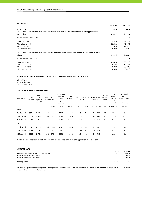#### **CAPITAL RATIOS**

|                                                                                                                         | 31.03.16 | 31.12.15 |
|-------------------------------------------------------------------------------------------------------------------------|----------|----------|
| <b>OWN FUNDS</b><br>TOTAL RISK EXPOSURE AMOUNT Basel III (without additional risk exposure amount due to application of | 907.4    | 904.5    |
| Basel I floor)                                                                                                          | 2 302.6  | 2 175.3  |
| Own fund requirement (8%)                                                                                               | 184.2    | 174.0    |
| Total capital ratio                                                                                                     | 39.41%   | 41.58%   |
| Tier 1 Capital ratio                                                                                                    | 39.41%   | 41.58%   |
| <b>CET1 Capital ratio</b>                                                                                               | 39.41%   | 41.58%   |
| Tier 2 Capital ratio                                                                                                    | 0.00%    | 0.00%    |
| TOTAL RISK EXPOSURE AMOUNT Basel III (with additional risk exposure amount due to application of Basel                  |          |          |
| I floor)                                                                                                                | 3 044.8  | 2 9 66.7 |
| Own fund requirement (8%)                                                                                               | 243.6    | 237.3    |
| Total capital ratio                                                                                                     | 29.80%   | 30.49%   |
| Tier 1 Capital ratio                                                                                                    | 29.80%   | 30.49%   |
| CET1 Capital ratio                                                                                                      | 29.80%   | 30.49%   |
| Tier 2 Capital ratio                                                                                                    | 0.00%    | 0.00%    |

#### **MEMBERS OF CONSOLIDATION GROUP, INCLUDED TO CAPITAL ADEQUACY CALCULATION**

AS SEB Pank AS SEB Liising Group AS SEB Varahaldus

## **CAPITAL REQUIREMENTS AND BUFFERS**

| Own funds            | Capital<br>amount | Total<br>risk<br>exposure<br>amount * | Base capital<br>requirement |              | Own funds<br>$Surplus(+)$<br>of base<br>capital<br>requirement | Capital<br>adequacy<br>ratio | Capital conservation<br>buffer |              | Systemic risk<br>buffer |                   | Counter-<br>cyclical<br>capital<br>buffer | Total<br>capital<br>require-<br>ments,<br>incl. buffers | Own funds<br>$Surplus(+)$<br>of total capital<br>requirements,<br>incl. buffers |
|----------------------|-------------------|---------------------------------------|-----------------------------|--------------|----------------------------------------------------------------|------------------------------|--------------------------------|--------------|-------------------------|-------------------|-------------------------------------------|---------------------------------------------------------|---------------------------------------------------------------------------------|
|                      | 1                 | $\overline{2}$                        | 3                           | $4=2\times3$ | $5 = 1 - 4$                                                    | $6=1/2$                      | $\overline{7}$                 | $8=2\times7$ | 9                       | $10 = 2 \times 9$ | 11                                        | $12 = 4 + 8 + 10 + 11$                                  | $14 = 1 - 12$                                                                   |
| 31.03.16             |                   |                                       |                             |              |                                                                |                              |                                |              |                         |                   |                                           |                                                         |                                                                                 |
| Total capital        | 907.4             | 2 3 0 2 .6                            | 8%                          | 184.2        | 723.2                                                          | 39.41%                       | 2.5%                           | 57.6         | 2%                      | 46.1              | 0.0                                       | 287.8                                                   | 619.6                                                                           |
| Tier 1 capital       | 907.4             | 2 3 0 2 .6                            | 6%                          | 138.2        | 769.2                                                          | 39.41%                       | 2.5%                           | 57.6         | 2%                      | 46.1              | 0.0                                       | 241.8                                                   | 665.6                                                                           |
| CET1 capital         | 907.4             | 2 3 0 2 .6                            | 4.5%                        | 103.6        | 803.8                                                          | 39.41%                       | 2.5%                           | 57.6         | 2%                      | 46.1              | 0.0                                       | 207.2                                                   | 700.2                                                                           |
| 31.12.15             |                   |                                       |                             |              |                                                                |                              |                                |              |                         |                   |                                           |                                                         |                                                                                 |
| <b>Total capital</b> | 904.5             | 2 175.3                               | 8%                          | 174.0        | 730.5                                                          | 41.58%                       | 2.5%                           | 54.4         | 2%                      | 43.5              | $\overline{\phantom{a}}$                  | 271.9                                                   | 632.6                                                                           |
| Tier 1 capital       | 904.5             | 2 175.3                               | 6%                          | 130.5        | 774.0                                                          | 41.58%                       | 2.5%                           | 54.4         | 2%                      | 43.5              | $\overline{\phantom{a}}$                  | 228.4                                                   | 676.1                                                                           |
| CET1 capital         | 904.5             | 2 175.3                               | 4.5%                        | 97.9         | 806.6                                                          | 41.58%                       | 2.5%                           | 54.4         | 2%                      | 43.5              | $\overline{\phantom{a}}$                  | 195.8                                                   | 708.7                                                                           |

\* Total risk exposure amount without additional risk exposure amount due to application of Basel I floor

#### **LEVERAGE RATIO**

|                                                 | 31.03.16  | 31.12.15    |
|-------------------------------------------------|-----------|-------------|
| Exposure measure for leverage ratio calculation | 5799.9    | 5 708.3     |
| of which on balance sheet items                 | 5 3 4 7 3 | 5 2 2 5 . 9 |
| of which off balance sheet items                | 452.6     | 482.4       |
| Leverage ratio*                                 | 15.7%     | 15.9%       |

\*In Annual report of reference period Leverage Ratio was calculated as the simple arithmetic mean of the monthly leverage ratios over a quarter. In Current report as of end of period.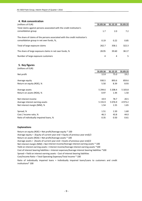| 4. Risk concentration                                                       |          |          |          |
|-----------------------------------------------------------------------------|----------|----------|----------|
| (millions of EUR)                                                           | 31.03.16 | 31.12.15 | 31.03.15 |
| Total claims against persons associated with the credit institution's       |          |          |          |
| consolidation group                                                         | 1.7      | 2.0      | 7.2      |
| The share of claims of the persons associated with the credit institution's |          |          |          |
| consolidation group in net own funds, %,                                    | 0.19     | 0.22     | 0.85     |
| Total of large exposure claims                                              | 262.7    | 358.1    | 322.3    |
| The share of large exposure claims in net own funds, %                      | 28.95    | 39.60    | 38.17    |
| Number of large exposure customers                                          | 4        | 4        | 5.       |

|  | 5. Key figures |  |  |
|--|----------------|--|--|
|--|----------------|--|--|

| (millions of EUR)                       |             |            |          |
|-----------------------------------------|-------------|------------|----------|
|                                         | 31.03.16    | 31.12.15   | 31.03.15 |
| Net profit                              | 12.8        | 75.0       | 19.2     |
| Average equity                          | 930.5       | 893.6      | 859.6    |
| Return on equity (ROE), %               | 5.50        | 8.39       | 8.93     |
| Average assets                          | 5 2 9 4 . 6 | 5 208.4    | 5 103.8  |
| Return on assets (ROA), %               | 0.97        | 1.44       | 1.50     |
| Net interest income                     | 19.9        | 78.7       | 20.5     |
| Average interest earning assets         | 5 1 5 5 . 9 | 5 0 7 6 .9 | 4973.2   |
| Net interest margin (NIM), %            | 1.54        | 1.55       | 1.65     |
| Spread, %                               | 1.51        | 1.50       | 1.60     |
| Cost / Income ratio, %                  | 46.3        | 43.8       | 44.0     |
| Ratio of individually impaired loans, % | 0.35        | 0.50       | 0.61     |

## **Explanations**

Return on equity (ROE) = Net profit/Average equity \* 100 Average equity = (Equity of current year end + Equity of previous year end)/2 Return on assets (ROA) = Net profit/Average assets \* 100 Average assets = (Assets of current year end + Assets of previous year end)/2 Cost of interest bearing liabilities = Interest expenses/Average interest bearing liabilities \*100 Cost/Income Ratio = Total Operating Expenses/Total Income \* 100 Net interest margin (NIM) = Net interest income/Average interest earning assets \* 100 Yield on interest earning assets = Interest income/Average interest earning assets \*100 Ratio of individually impaired loans = Individually impaired loans/Loans to customers and credit institutions\* 100 Spread = Yield on interest earning assets ‐ Cost of interest bearing liabilities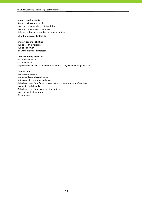## **Interest earning assets:**

Balances with central bank Loans and advances to credit institutions Loans and advances to customers Debt securities and other fixed income securities

(all without accrued interests)

## **Interest bearing liabilities:**

Due to credit institutions Due to customers (all without accrued interests)

## **Total Operating Expenses:**

Personnel expenses Other expenses Depreciation, amortisation and impairment of tangible and intangible assets

### **Total Income:**

Net interest income Net fee and commission income Net income from foreign exchange Gains less losses from financial assets at fair value through profit or loss Income from dividends Gains less losses from investment securities Share of profit of associates Other income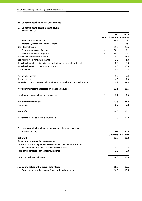# **III. Consolidated financial statements**

## **1. Consolidated income statement** (millions of EUR)

|                                                                              |                | 2016              | 2015   |
|------------------------------------------------------------------------------|----------------|-------------------|--------|
|                                                                              | Note           | 3 months 3 months |        |
| Interest and similar income                                                  | 3              | 22.5              | 23.4   |
| Interest expenses and similar charges                                        | 4              | $-2.6$            | $-2.9$ |
| Net Interest Income                                                          |                | 19.9              | 20.5   |
| Fee and commission income                                                    | 5              | 14.1              | 15.3   |
| Fee and commission expense                                                   | 6              | $-3.7$            | $-3.9$ |
| Net fee and commission income                                                |                | 10.4              | 11.4   |
| Net income from foreign exchange                                             |                | 1.0               | 1.3    |
| Gains less losses from financial assets at fair value through profit or loss |                | 0.3               | 0.3    |
| Gains less losses from investment securities                                 |                | 0.0               | $-0.5$ |
| Other income                                                                 |                | 0.2               | 0.2    |
|                                                                              |                |                   |        |
| Personnel expenses                                                           |                | $-9.9$            | $-9.4$ |
| Other expenses                                                               |                | $-4.0$            | $-4.3$ |
| Depreciation, amortisation and impairment of tangible and intangible assets  |                | $-0.9$            | $-1.0$ |
|                                                                              |                |                   |        |
| Profit before impairment losses on loans and advances                        |                | 17.1              | 18.5   |
|                                                                              |                |                   |        |
| Impairment losses on loans and advances                                      | $\overline{7}$ | 0.7               | 2.9    |
|                                                                              |                |                   |        |
| Profit before income tax                                                     |                | 17.8              | 21.4   |
| Income tax                                                                   |                | $-5.0$            | $-2.2$ |
|                                                                              |                |                   |        |
| Net profit                                                                   |                | 12.8              | 19.2   |
|                                                                              |                |                   |        |
| Profit attributable to the sole equity holder                                |                | 12.8              | 19.2   |
|                                                                              |                |                   |        |

# **2. Consolidated statement of comprehensive income**

| (millions of EUR)                                                    | 2016 | 2015              |
|----------------------------------------------------------------------|------|-------------------|
|                                                                      |      | 3 months 3 months |
| Net profit                                                           | 12.8 | 19.2              |
| Other comprehensive income/expense                                   |      |                   |
| Items that may subsequently be reclassified to the income statement: |      |                   |
| Revaluation of available-for-sale financial assets                   | 3.2  | 0.3               |
| Total other comprehensive income/expense                             | 3.2  | 0.3               |
| Total comprehensive income                                           | 16.0 | 19.5              |
| Sole equity holder of the parent entity (total)                      | 16.0 | 19.5              |
| -Total comprehensive income from continued operations                | 16.0 | 19.5              |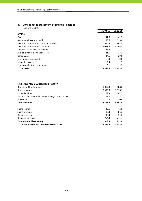# **3. Consolidated statement of financial position**

|                                           | 31.03.16    | 31.12.15    |
|-------------------------------------------|-------------|-------------|
| <b>ASSETS</b>                             |             |             |
| Cash                                      | 41.5        | 42.5        |
| Balances with central bank                | 188.5       | 615.0       |
| Loans and advances to credit institutions | 934.5       | 392.5       |
| Loans and advances to customers           | 4 0 9 3 .5  | 4 0 9 6 .3  |
| Financial assets held for trading         | 28.8        | 28.3        |
| Available-for-sale financial assets       | 21.5        | 18.3        |
| Other assets                              | 34.6        | 29.0        |
| Investments in associates                 | 0.9         | 0.8         |
| Intangible assets                         | 2.4         | 1.9         |
| Property, plant and equipment             | 9.1         | 9.3         |
| <b>TOTAL ASSETS</b>                       | 5 3 5 5 . 3 | 5 2 3 3 . 9 |

| LIABILITIES AND SHAREHOLDERS' EQUITY                       |             |             |
|------------------------------------------------------------|-------------|-------------|
| Due to credit institutions                                 | 1 0 1 7 . 3 | 888.6       |
| Due to customers                                           | 3 300.3     | 3 3 1 6 . 1 |
| Other liabilities                                          | 79.3        | 67.7        |
| Financial liabilities at fair value through profit or loss | 29.6        | 28.7        |
| Provisions                                                 | 0.3         | 0.4         |
| <b>Total Liabilities</b>                                   | 4426.8      | 4 3 0 1.5   |
| Share capital                                              | 42.5        | 42.5        |
| Share premium                                              | 86.3        | 86.3        |
| Other reserves                                             | 35.4        | 32.2        |
| Retained earnings                                          | 764.3       | 771.4       |
| Total shareholders' equity                                 | 928.5       | 932.4       |
| <b>TOTAL LIABILITIES AND SHAREHOLDERS' EQUITY</b>          | 5 3 5 5 . 3 | 5 2 3 3 . 9 |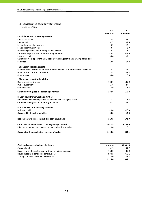# **4. Consolidated cash flow statement**

|                                                                                 | 2016       | 2015       |
|---------------------------------------------------------------------------------|------------|------------|
|                                                                                 | 3 months   | 3 months   |
| I. Cash flows from operating activities                                         |            |            |
| Interest received                                                               | 22.5       | 23.4       |
| Interest paid                                                                   | $-2.7$     | $-2.6$     |
| Fee and commission received                                                     | 14.2       | 15.2       |
| Fee and commission paid                                                         | $-3.7$     | $-3.9$     |
| Net trading income and other operating income                                   | 2.1        | 1.5        |
| Personnel expenses and other operating expenses                                 | $-13.8$    | $-13.6$    |
| Income tax paid                                                                 | $-5.0$     | $-2.2$     |
| Cash flows from operating activities before changes in the operating assets and |            |            |
| <b>liabilities</b>                                                              | 13.6       | 17.8       |
| <b>Changes in operating assets:</b>                                             |            |            |
| Loans and advances to credit institutions and mandatory reserve in central bank | $-3.2$     | $-13.3$    |
| Loans and advances to customers                                                 | 2.8        | $-2.8$     |
| Other assets                                                                    | $-4.0$     | 6.5        |
| <b>Changes of operating liabilities:</b>                                        |            |            |
| Due to credit institutions                                                      | 133.1      | $-139.0$   |
| Due to customers                                                                | $-15.6$    | $-27.4$    |
| <b>Other liabilities</b>                                                        | 7.9        | $-1.6$     |
| Cash flow from (used in) operating activities                                   | 134.6      | $-159.8$   |
| II. Cash flows from investing activities                                        |            |            |
| Purchase of investment properties, tangible and intangible assets               | $-1.1$     | $-1.2$     |
| Cash flow from (used in) investing activities                                   | $-1.1$     | $-1.2$     |
| III. Cash flows from financing activities                                       |            |            |
| Dividends paid                                                                  | $-20.0$    | $-10.0$    |
| Cash used in financing activities                                               | $-20.0$    | $-10.0$    |
| Net decrease/increase in cash and cash equivalents                              | 113.5      | $-171.0$   |
| Cash and cash equivalents at the beginning of period                            | 1012.5     | 1 1 0 5 .0 |
| Effect of exchange rate changes on cash and cash equivalents                    | 0.0        | 0.1        |
| Cash and cash equivalents at the end of period                                  | 1 1 2 6 .0 | 934.1      |

| Cash and cash equivalents includes:                      | 31.03.16   | 31.03.15 |
|----------------------------------------------------------|------------|----------|
| Cash on hand                                             | 41.5       | 41.7     |
| Balances with the central bank without mandatory reserve | 150.0      | 35.0     |
| Liquid deposits in other credit institutions             | 934.5      | 755.1    |
| Trading portfolio and liquidity securities               | 0.0        | 102.3    |
|                                                          | 1 1 2 6 .0 | 934.1    |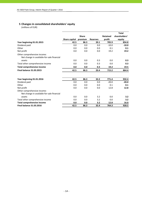# **5 Changes in consolidated shareholders' equity**

|                                                                           |               |              |                 |                 | <b>Total</b>  |
|---------------------------------------------------------------------------|---------------|--------------|-----------------|-----------------|---------------|
|                                                                           |               | <b>Share</b> |                 | <b>Retained</b> | shareholders' |
|                                                                           | Share capital | premium      | <b>Reserves</b> | profit          | equity        |
| Year beginning 01.01.2015                                                 | 42.5          | 86.3         | 20.1            | 705.9           | 854.8         |
| Dividend paid                                                             | 0.0           | 0.0          | 0.0             | $-10.0$         | $-10.0$       |
| Other                                                                     | 0.0           | 0.0          | 0.0             | 0.1             | 0.1           |
| Net profit                                                                | 0.0           | 0.0          | 0.0             | 19.2            | 19.2          |
| Other comprehensive income:<br>Net change in available-for-sale financial |               |              |                 |                 |               |
| assets                                                                    | 0.0           | 0.0          | 0.3             | 0.0             | 0.3           |
| Total other comprehensive income                                          | 0.0           | 0.0          | 0.3             | 0.0             | 0.3           |
| <b>Total comprehensive income</b>                                         | 0.0           | 0.0          | 0.3             | 19.2            | 19.5          |
| <b>Final balance 31.03.2015</b>                                           | 42.5          | 86.3         | 20.4            | 715.2           | 864.4         |
| Year beginning 01.01.2016                                                 | 42.5          | 86.3         | 32.2            | 771.4           | 932.4         |
| Dividend paid                                                             | 0.0           | 0.0          | 0.0             | $-20.0$         | $-20.0$       |
| Other                                                                     | 0.0           | 0.0          | 0.0             | 0.1             | 0.1           |
| Net profit                                                                | 0.0           | 0.0          | 0.0             | 12.8            | 12.8          |
| Other comprehensive income:<br>Net change in available-for-sale financial |               |              |                 |                 |               |
| assets                                                                    | 0.0           | 0.0          | 3.2             | 0.0             | 3.2           |
| Total other comprehensive income                                          | 0.0           | 0.0          | 3.2             | 0.0             | 3.2           |
| <b>Total comprehensive income</b>                                         | 0.0           | 0.0          | 3.2             | 12.8            | 16.0          |
| <b>Final balance 31.03.2016</b>                                           | 42.5          | 86.3         | 35.4            | 764.3           | 928.5         |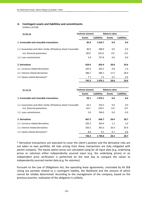# **6. Contingent assets and liabilities and commitments**

(millions of EUR)

| 31.03.16                                                        | Contract amount |                    | <b>Balance value</b> |                    |
|-----------------------------------------------------------------|-----------------|--------------------|----------------------|--------------------|
|                                                                 | <b>Assets</b>   | <b>Liabilities</b> | <b>Assets</b>        | <b>Liabilities</b> |
| 1. Irrevocable and revocable transactions                       | 85.9            | 1016.7             | 0.0                  | 0.0                |
| 1.1. Guarantees and other similar off-balance sheet irrovocable | 80.9            | 288.9              | 0.0                  | 0.0                |
| incl. financial quarantees                                      | 80.9            | 101.8              | 0.0                  | 0.0                |
| 1.2. Loan commitments                                           | 5.0             | 727.8              | 0.0                  | 0.0                |
| 2. Derivatives                                                  | 659.4           | 659.4              | 28.8                 | 29.6               |
| 2.1. Currency related derivatives                               | 265.0           | 265.2              | 0.8                  | 1.0                |
| 2.2. Interest related derivatives                               | 386.7           | 386.7              | 27.5                 | 28.0               |
| 2.3. Equity related derivatives*                                | 7.7             | 7.5                | 0.5                  | 0.6                |
|                                                                 | 745.3           | 1676.1             | 28.8                 | 29.6               |

| 31.12.15                                                        | <b>Contract amount</b> |                    | <b>Balance value</b> |                    |
|-----------------------------------------------------------------|------------------------|--------------------|----------------------|--------------------|
|                                                                 | <b>Assets</b>          | <b>Liabilities</b> | <b>Assets</b>        | <b>Liabilities</b> |
| 1. Irrevocable and revocable transactions                       | 69.1                   | 1074.1             | 0.0                  | 0.0                |
| 1.1. Guarantees and other similar off-balance sheet irrovocable | 64.1                   | 310.3              | 0.0                  | 0.0                |
| incl. financial quarantees                                      | 64.1                   | 129.3              | 0.0                  | 0.0                |
| 1.2. Loan commitments                                           | 5.0                    | 764.0              | 0.0                  | 0.0                |
| 2. Derivatives                                                  | 667.3                  | 666.7              | 28.4                 | 28.7               |
| 2.1. Currency related derivatives                               | 295.2                  | 294.9              | 1.3                  | 1.0                |
| 2.2. Interest related derivatives                               | 363.3                  | 363.3              | 26.4                 | 26.9               |
| 2.3. Equity related derivatives*                                | 8.8                    | 8.5                | 0.7                  | 0.8                |
|                                                                 | 736.4                  | 1740.8             | 28.4                 | 28.7               |

\* Derivative transactions are executed to cover the client's position and the derivative risks are not taken to own portfolio. All risks arising from these transactions are fully mitigated with parent company. The equity option prices are calculated using for all input data (e.g. underlying prices or volumes) either independently sourced input (e.g. the underlying prices) or an independent price verification is performed on the next day to compare the values to independently sourced market data (e.g. for volumes).

Pursuant to the Law of Obligations Act, the operating lease agreements, concluded by AS SEB Liising are partially related to a contingent liability, the likelihood and the amount of which cannot be reliably determined. According to the management of the company, based on the previous practice, realization of the obligation is unlikely.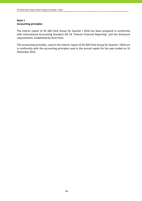# **Note 1 Accounting principles**

The interim report of AS SEB Pank Group for Quarter I 2016 has been prepared in conformity with International Accounting Standard IAS 34 "Interim Financial Reporting" and the disclosure requirements, established by Eesti Pank.

The accounting principles, used in the interim report of AS SEB Pank Group for Quarter I 2016 are in conformity with the accounting principles used in the annual report for the year ended on 31 December 2015.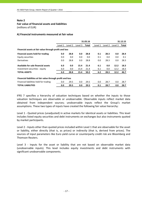**Fair value of financial assets and liabilities**

(millions of EUR)

# **A) Financial instruments measured at fair value**

|                                                             |         |         |         | 31.03.16 |         |         |         | 31.12.15 |
|-------------------------------------------------------------|---------|---------|---------|----------|---------|---------|---------|----------|
|                                                             | Level 1 | Level 2 | Level 3 | Total    | Level 1 | Level 2 | Level 3 | Total    |
| Financial assets at fair value through profit and loss      |         |         |         |          |         |         |         |          |
| Financial assets held for trading                           | 0.0     | 28.8    | 0.0     | 28.8     | 0.1     | 28.3    | 0.0     | 28.4     |
| Equity securities                                           | 0.0     | 0.0     | 0.0     | 0.0      | 0.1     | 0.0     | 0.0     | 0.1      |
| <b>Derivatives</b>                                          | 0.0     | 28.8    | 0.0     | 28.8     | 0.0     | 28.3    | 0.0     | 28.3     |
| Available for sale financial assets                         | 6.0     | 0.0     | 15.4    | 21.4     | 6.1     | 0.0     | 12.2    | 18.3     |
| Investment securities - equity                              | 6.0     | 0.0     | 15.4    | 21.4     | 6.1     | 0.0     | 12.2    | 18.3     |
| <b>TOTAL ASSETS</b>                                         | 6.0     | 28.8    | 15.4    | 50.2     | 6.2     | 28.3    | 12.2    | 46.7     |
| Financial liabilities at fair value through profit and loss |         |         |         |          |         |         |         |          |
| Financial liabilities held for trading                      | 0.0     | 29.5    | 0.0     | 29.5     | 0.0     | 28.7    | 0.0     | 28.7     |
| <b>TOTAL LIABILITIES</b>                                    | 0.0     | 29.5    | 0.0     | 29.5     | 0.1     | 28.7    | 0.0     | 28.7     |

IFRS 7 specifies a hierarchy of valuation techniques based on whether the inputs to those valuation techniques are observable or unobservable. Observable inputs reflect market data obtained from independent sources; unobservable inputs reflect the Group's market assumptions. These two types of inputs have created the following fair value hierarchy:

Level 1 ‐ Quoted prices (unadjusted) in active markets for identical assets or liabilities. This level includes listed equity securities and debt instruments on exchanges but also instruments quoted by market participants.

Level 2 ‐ Inputs other than quoted prices included within Level 1 that are observable for the asset or liability, either directly (that is, as prices) or indirectly (that is, derived from prices). The sources of input parameters like Euro yield curve or counterparty credit risk are Bloomberg and Thomson Reuters.

Level 3 - Inputs for the asset or liability that are not based on observable market data (unobservable inputs). This level includes equity investments and debt instruments with significant unobservable components.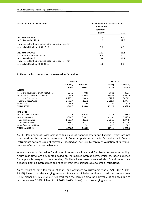| <b>Reconciliation of Level 3 Items</b>                     | Available-for-sale financial assets |       |  |  |  |
|------------------------------------------------------------|-------------------------------------|-------|--|--|--|
|                                                            | Investment                          |       |  |  |  |
|                                                            | securities -                        |       |  |  |  |
|                                                            | equity                              | Total |  |  |  |
| At 1 January 2015                                          | 0.1                                 | 0.1   |  |  |  |
| At 31 December 2015                                        | 12.2                                | 12.2  |  |  |  |
| Total losses for the period included in profit or loss for |                                     |       |  |  |  |
| assets/liabilities held at 31.12.15                        | 0.0                                 | 0.0   |  |  |  |
| At 1 January 2016                                          | 12.2                                | 12.2  |  |  |  |
| Other comprehensive income                                 | 3.2                                 | 3.2   |  |  |  |
| At 31 March 2016                                           | 15.4                                | 15.4  |  |  |  |
| Total losses for the period included in profit or loss for |                                     |       |  |  |  |
| assets/liabilities held at 31.03.16                        | 0.0                                 | 0.0   |  |  |  |

# **B) Financial instruments not measured at fair value**

|                                           | 31.03.16   |             | 31.12.15    |             |
|-------------------------------------------|------------|-------------|-------------|-------------|
|                                           | Carrying   | Fair value, | Carrying    | Fair value, |
|                                           | value      | Level 3     | value       | Level 3     |
| <b>ASSETS</b>                             |            |             |             |             |
| Loans and advances to credit institutions | 934.5      | 934.5       | 392.5       | 392.5       |
| Loans and advances to customers           | 4 0 9 3.5  | 4 000.5     | 4 0 9 6.3   | 3 960.9     |
| Loans to Corporates                       | 2055.2     | 2068.4      | 2077.0      | 2079.5      |
| Loans to households                       | 2038.3     | 1932.1      | 2019.3      | 1881.4      |
| Other assets                              | 34.6       | 34.6        | 29.0        | 29.0        |
| <b>TOTAL ASSETS</b>                       | 5 0 6 2.6  | 4 9 6 9.6   | 4 5 1 7 . 8 | 4 3 8 2.4   |
| <b>LIABILITIES</b>                        |            |             |             |             |
| Due to credit institutions                | 1017.3     | 1018.4      | 888.6       | 888.2       |
| Due to customers                          | 3 300.3    | 3 3 0 2.5   | 3 3 1 6 . 1 | 3 3 1 8 . 4 |
| Due to Corporates                         | 1829.2     | 1831.5      | 1884.8      | 1886.9      |
| Due to households                         | 1471.1     | 1471.0      | 1431.3      | 1431.5      |
| Other financial liabilities               | 79.3       | 79.3        | 67.7        | 67.7        |
| <b>TOTAL LIABILITIES</b>                  | 4 3 9 6 .9 | 4 4 0 0.2   | 4 272.4     | 4 2 7 4 .3  |

AS SEB Pank conducts assessment of fair value of financial assets and liabilities which are not presented in the Group's statement of financial position at their fair value. All finance instruments not measured at fair value specified at Level 3 in hierarchy of valuation of fair value, because of using unobservable inputs.

When calculating fair value for floating interest rate loans and for fixed-interest rate lending, future cash flows are discounted based on the market interest curve, which has been adjusted for applicable margins of new lending. Similarly have been calculated also fixed-interest rate deposits, floating interest rate and fixed‐interest rate balances due to credit institutions.

As of reporting date fair value of loans and advances to customers was 2.27% (31.12.2015: 3.31%) lower than the carrying amount. Fair value of balances due to credit institutions was 0.11% higher (31.12.2015: 0.04% lower) than the carrying amount. Fair value of balances due to customers was 0.07% higher (31.12.2015: 0.07% higher) than the carrying amount.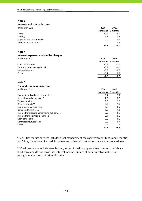# **Interest and similar income**

| (millions of EUR)         | 2016     | 2015          |
|---------------------------|----------|---------------|
|                           | 3 months | 3 months      |
| Loans                     | 19.2     | 19.2          |
| Leasing                   | 3.3      | $3.5^{\circ}$ |
| Deposits with other banks | 0.0      | 0.1           |
| Fixed income securities   | 0.0      | 0.6           |
|                           | 22.5     | 23.4          |

# **Note 4**

# **Interest expenses and similar charges**

| (millions of EUR)              | 2016     | 2015     |
|--------------------------------|----------|----------|
|                                | 3 months | 3 months |
| Credit institutions            | $-0.3$   | $-1.4$   |
| Time and other saving deposits | $-0.4$   | -0.6     |
| Demand deposits                | $-0.8$   | $-0.8$   |
| Other                          | $-1.1$   | $-0.1$   |
|                                | -2.6     | $-2.9$   |

## **Note 5**

# **Fee and commission income**

| Fee and commission income                     |          |               |
|-----------------------------------------------|----------|---------------|
| (millions of EUR)                             | 2016     | 2015          |
|                                               | 3 months | 3 months      |
| Payment cards related commissions             | 5.1      | 5.7           |
| Securities market services *                  | 2.6      | 2.8           |
| <b>Transaction fees</b>                       | 1.2      | 1.3           |
| Credit contracts**                            | 0.9      | 1.2           |
| Insurance brokerage fees                      | 0.8      | 0.7           |
| Other settlement fees                         | 1.5      | 1.1           |
| Income from leasing agreements (full service) | 0.2      | 0.3           |
| Income from electronic channels               | 0.4      | 0.5           |
| Cash handling fees                            | 0.2      | 0.2           |
| Commodity futures fees                        | 0.0      | $0.4^{\circ}$ |
| Other                                         | 1.2      | 1.4           |
|                                               | 14.1     | 15.6          |
|                                               |          |               |

\* Securities market services includes asset management fees of investment funds and securities portfolios, custody services, advisory fees and other with securities transactions related fees.

\*\* Credit contracts include loan, leasing, letter of credit and guarantee contracts, which are short-term and do not constitute interest income, but are of administrative nature for arrangement or reorganisation of credits.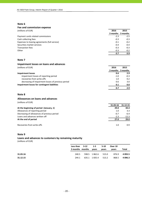## **Fee and commission expense**

| (millions of EUR)                             | 2016   | 2015              |
|-----------------------------------------------|--------|-------------------|
|                                               |        | 3 months 3 months |
| Payment cards related commissions             | $-2.3$ | $-2.5$            |
| Cash collecting fees                          | $-0.3$ | $-0.3$            |
| Expenses to leasing agreements (full service) | $-0.1$ | $-0.2$            |
| Securities market services                    | $-0.4$ | $-0.4$            |
| <b>Transaction fees</b>                       | $-0.3$ | $-0.3$            |
| Other                                         | $-0.3$ | $-0.2$            |
|                                               | $-3.7$ | $-3.9$            |

# **Note 7**

## **Impairment losses on loans and advances**

| (millions of EUR)                                  | 2016     | 2015     |
|----------------------------------------------------|----------|----------|
|                                                    | 3 months | 3 months |
| <b>Impairment losses</b>                           | 0.6      | 2.9      |
| impairment losses of reporting period              | $-1.0$   | $-0.3$   |
| recoveries from write-offs                         | 1.0      | 0.2      |
| decreasing of impairment losses of previous period | 0.6      | 3.0      |
| Impairment losses for contingent liabilities       | 0.1      | 0.0      |
|                                                    | 0.7      | 2.9      |

## **Note 8**

## **Allowances on loans and advances**

(millions of EUR)

|                                             | 31.03.16 | 31.12.15 |
|---------------------------------------------|----------|----------|
| At the beginning of period (January, 1)     | 29.0     | 44.4     |
| Allowances of reporting period              | 1.0      | 3.3      |
| Decreasing of allowances of previous period | $-0.7$   | $-6.4$   |
| Loans and advances written off              | $-2.3$   | $-12.3$  |
| At the end of period                        | 27.0     | 29.0     |
| Recoveries from write-offs                  | 1.0      | 0.9      |

# **Note 9**

# **Loans and advances to customers by remaining maturity** (millions of EUR)

**Less than 3 months months 3‐12 1‐5 years 5‐10 years Over 10 years Total 31.03.16** 240.5 598.5 1 862.6 515.0 876.9 **4 093.5**

**31.12.15** 244.1 635.1 1 835.4 513.2 868.5 **4 096.3**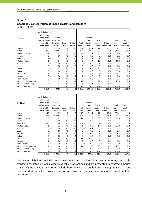## **Geographic concentration of financial assets and liabilities**

(millions of EUR)

|                             | 1 1 64.5       | 4 0 9 3 .5  | 51.2    | 46.1   | 5 3 5 5 . 3 | 1017.3   | 3 300.3 | 109.2        | 4426.8   | 1016.7      |
|-----------------------------|----------------|-------------|---------|--------|-------------|----------|---------|--------------|----------|-------------|
| Other countries             | 3.9            | 0.7         | 0.0     | 9.1    | 13.7        | 0.0      | 181.4   | 6.2          | 187.6    | 4.3         |
| <b>Other Eastern Europe</b> | 3.7            | 0.4         | 0.0     | 0.1    | 4.2         | 21.1     | 46.5    | 0.0          | 67.6     | 0.4         |
| Other Western Europe        | 5.5            | 6.1         | 0.0     | 0.4    | 12.0        | 1.5      | 21.9    | 0.2          | 23.6     | 7.0         |
| Netherlands                 | 0.0            | 0.0         | 0.0     | 0.0    | 0.0         | 0.0      | 7.6     | 0.0          | 7.6      | 0.0         |
| Luxembourg                  | 0.8            | 0.0         | 0.0     | 0.2    | 1.0         | 0.3      | 0.0     | 0.0          | 0.3      | 0.0         |
| Lithuania                   | 1.1            | 8.4         | 0.0     | 0.3    | 9.8         | 15.4     | 3.0     | 0.1          | 18.5     | 0.4         |
| Latvia                      | 0.0            | 0.0         | 0.0     | 1.1    | 1.1         | 0.0      | 0.0     | 0.0          | 0.0      | 0.0         |
| Finland                     | 0.0            | 1.7         | 0.0     | 0.0    | 1.7         | 0.0      | 10.2    | 0.0          | 10.2     | 3.8         |
| Japan                       | 0.0            | 0.0         | 0.0     | 0.0    | 0.0         | 0.0      | 0.5     | 0.0          | 0.5      | 0.0         |
| Canada                      | 0.0            | 0.0         | 0.0     | 0.0    | 0.0         | 0.0      | 1.7     | 0.0          | 1.7      | 0.0         |
| <b>United States</b>        | 1.6            | 0.4         | 0.0     | 0.0    | 2.0         | 0.4      | 15.5    | 0.0          | 15.9     | 0.0         |
| Germany                     | 1.0            | 0.3         | 0.0     | 0.0    | 1.3         | 5.2      | 1.8     | 0.0          | 7.0      | 5.0         |
| Russia                      | 0.1            | 0.0         | 0.0     | 0.0    | 0.1         | 0.0      | 0.1     | 0.0          | 0.1      | 0.0         |
| United Kingdom              | 31.5           | 1.7         | 15.3    | 0.1    | 48.6        | 2.1      | 35.5    | 0.4          | 38.0     | 0.0         |
| Estonia                     | 230.1          | 4 0 7 3 . 2 | 34.5    | 34.5   | 4 3 7 2 . 3 | 10.2     | 2962.7  | 73.2         | 3 046.1  | 994.3       |
| Sweden                      | 885.2          | 0.6         | 1.4     | 0.3    | 887.5       | 961.1    | 11.9    | 29.1         | 1 002.1  | 1.5         |
|                             | institutions   | mers        | ties    | assets | assets      | tions    | mers    | liabili-ties | ties     | liabilities |
|                             | to credit      | to custo-   | Securi- | Other  | Total       | institu- | custo-  | Other        | liabili- | gent        |
| 31.03.16                    | and advances   | advances    |         |        |             | credit   | Due to  |              | Total    | Contin-     |
|                             | bank, loans    | Loans and   |         |        |             | Due to   |         |              |          |             |
|                             | with central   |             |         |        |             |          |         |              |          |             |
|                             | Cash, balances |             |         |        |             |          |         |              |          |             |
|                             |                |             |         |        |             |          |         |              |          |             |

|                      | Cash, balances<br>with central |           |         |        |             |          |             |              |             |             |
|----------------------|--------------------------------|-----------|---------|--------|-------------|----------|-------------|--------------|-------------|-------------|
| 31.12.15             | bank, loans                    | Loans and |         |        |             | Due to   |             |              |             |             |
|                      | and advances                   | advances  |         |        |             | credit   | Due to      |              | Total       | Contin-     |
|                      | to credit                      | to custo- | Securi- | Other  | Total       | institu- | custo-      | Other        | liabili-    | gent        |
|                      | institutions                   | mers      | ties    | assets | assets      | tions    | mers        | liabili-ties | ties        | liabilities |
| Sweden               | 13.5                           | 0.5       | 1.7     | 0.5    | 16.2        | 791.1    | 17.2        | 27.8         | 836.1       | 1.5         |
| Estonia              | 658.3                          | 4 0 74.3  | 33.6    | 37.0   | 4 803.2     | 7.7      | 2975.4      | 68.4         | 3 0 5 1 . 5 | 1055.8      |
| United Kingdom       | 0.7                            | 1.3       | 12.1    | 0.1    | 14.2        | 3.2      | 28.2        | 0.1          | 31.5        | 0.0         |
| Russia               | 0.2                            | 0.0       | 0.0     | 0.0    | 0.2         | 0.0      | 0.1         | 0.0          | 0.1         | 0.0         |
| Germany              | 348.2                          | 3.4       | 0.0     | 0.0    | 351.6       | 7.3      | 1.4         | 0.0          | 8.7         | 1.8         |
| <b>United States</b> | 1.4                            | 0.2       | 0.0     | 0.0    | 1.6         | 0.0      | 17.0        | 0.0          | 17.0        | 0.0         |
| Canada               | 0.0                            | 0.0       | 0.0     | 0.0    | 0.0         | 0.1      | 0.6         | 0.0          | 0.7         | 0.0         |
| Japan                | 0.0                            | 0.0       | 0.0     | 0.0    | 0.0         | 0.0      | 0.5         | 0.0          | 0.5         | 0.0         |
| Finland              | 4.4                            | 0.9       | 0.0     | 0.0    | 5.3         | 0.0      | 9.3         | 0.0          | 9.3         | 3.4         |
| Latvia               | 0.0                            | 0.0       | 0.0     | 0.6    | 0.6         | 0.0      | 0.0         | 0.0          | 0.0         | 0.0         |
| Lithuania            | 4.8                            | 8.4       | 0.0     | 0.2    | 13.4        | 67.9     | 4.1         | 0.1          | 72.1        | 0.4         |
| Luxembourg           | 1.9                            | 0.0       | 0.0     | 0.2    | 2.1         | 0.6      | 0.1         | 0.2          | 0.9         | 0.0         |
| Netherlands          | 0.0                            | 0.0       | 0.0     | 0.0    | 0.0         | 0.0      | 2.0         | 0.0          | 2.0         | 0.0         |
| Other Western Europe | 7.9                            | 6.0       | 0.0     | 0.3    | 14.2        | 1.5      | 26.5        | 0.1          | 28.1        | 7.0         |
| Other Eastern Europe | 6.1                            | 0.9       | 0.0     | 0.1    | 7.1         | 9.2      | 45.9        | 0.1          | 55.2        | 0.0         |
| Other countries      | 2.6                            | 0.4       | 0.0     | 1.2    | 4.2         | 0.0      | 187.8       | 0.0          | 187.8       | 4.2         |
|                      | 1050.0                         | 4 096.3   | 47.4    | 40.2   | 5 2 3 3 . 9 | 888.6    | 3 3 1 6 . 1 | 96.8         | 4 301.5     | 1074.1      |

Contingent liabilities include here guarantees and pledges, loan commitments, revocable transactions, stand‐by loans, other revocable transactions and are presented in contract amount of contingent liabilities. Securities include here financial assets held for trading, financial assets designated at fair value through profit or loss, available‐for‐sale financial assets, investments in associates.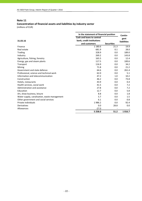# **Concentration of financial assets and liabilities by industry sector**

|                                              | In the statement of financial position | Contin-           |                    |
|----------------------------------------------|----------------------------------------|-------------------|--------------------|
|                                              | <b>Cash and loans to central</b>       |                   | gent               |
| 31.03.16                                     | bank, credit institutions              |                   | <b>liabilities</b> |
|                                              | and customers                          | <b>Securities</b> |                    |
| Finance                                      | 1 1 8 0 . 6                            | 21.3              | 19.9               |
| Real estate                                  | 681.9                                  | 0.1               | 28.0               |
| Trading                                      | 328.9                                  | 0.0               | 189.0              |
| Industry                                     | 269.2                                  | 0.0               | 143.8              |
| Agriculture, fishing, forestry               | 165.5                                  | 0.0               | 12.4               |
| Energy, gas and steam plants                 | 117.5                                  | 0.0               | 100.6              |
| Transport                                    | 116.9                                  | 0.0               | 34.2               |
| Mining                                       | 71.8                                   | 0.0               | 21.2               |
| Government and state defence                 | 64.6                                   | 0.0               | 261.4              |
| Professional, science and technical work     | 62.0                                   | 0.0               | 5.1                |
| Information and telecommunication            | 47.2                                   | 1.0               | 10.2               |
| Construction                                 | 46.2                                   | 0.0               | 73.8               |
| Hotels, restaurants                          | 43.9                                   | 0.0               | 0.4                |
| Health services, social work                 | 41.5                                   | 0.0               | 7.2                |
| Administration and assistance                | 27.8                                   | 0.0               | 7.2                |
| Education                                    | 12.7                                   | 0.0               | 5.8                |
| Art, show business, leisure                  | 8.8                                    | 0.0               | 1.8                |
| Water supply, canalisation, waste management | 5.7                                    | 0.0               | 1.5                |
| Other government and social services         | 6.1                                    | 0.0               | 0.8                |
| Private individuals                          | 1986.2                                 | 0.0               | 92.4               |
| Derivatives                                  | 0.0                                    | 28.8              | 0.0                |
| Allowances                                   | $-27.0$                                |                   |                    |
|                                              | 5 2 5 8.0                              | 51.2              | 1016.7             |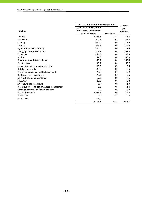| In the statement of financial position       |                           |                   |                    |
|----------------------------------------------|---------------------------|-------------------|--------------------|
|                                              | Cash and loans to central |                   | Contin-<br>gent    |
| 31.12.15                                     | bank, credit institutions |                   | <b>liabilities</b> |
|                                              | and customers             | <b>Securities</b> |                    |
| Finance                                      | 1 0 6 6 .3                | 18.3              | 16.8               |
| Real estate                                  | 692.3                     | 0.1               | 27.6               |
| Trading                                      | 292.4                     | 0.0               | 215.6              |
| Industry                                     | 275.2                     | 0.0               | 144.9              |
| Agriculture, fishing, forestry               | 172.4                     | 0.0               | 8.9                |
| Energy, gas and steam plants                 | 149.2                     | 0.0               | 107.9              |
| Transport                                    | 124.5                     | 0.0               | 33.3               |
| Mining                                       | 74.6                      | 0.0               | 65.0               |
| Government and state defence                 | 70.4                      | 0.0               | 262.5              |
| Construction                                 | 49.4                      | 0.0               | 68.7               |
| Information and telecommunication            | 48.9                      | 0.7               | 10.6               |
| Hotels, restaurants                          | 43.9                      | 0.0               | 0.6                |
| Professional, science and technical work     | 43.8                      | 0.0               | 6.2                |
| Health services, social work                 | 43.3                      | 0.0               | 6.5                |
| Administration and assistance                | 27.3                      | 0.0               | 6.5                |
| Education                                    | 13.5                      | 0.0               | 5.8                |
| Art, show business, leisure                  | 8.7                       | 0.0               | 1.7                |
| Water supply, canalisation, waste management | 5.8                       | 0.0               | 1.4                |
| Other government and social services         | 6.6                       | 0.0               | 0.7                |
| Private individuals                          | 1966.8                    | 0.0               | 82.9               |
| Derivatives                                  | 0.0                       | 28.3              | 0.0                |
| Allowances                                   | $-29.0$                   |                   |                    |
|                                              | 5 1 4 6 .3                | 47.4              | 1 0 7 4 . 1        |